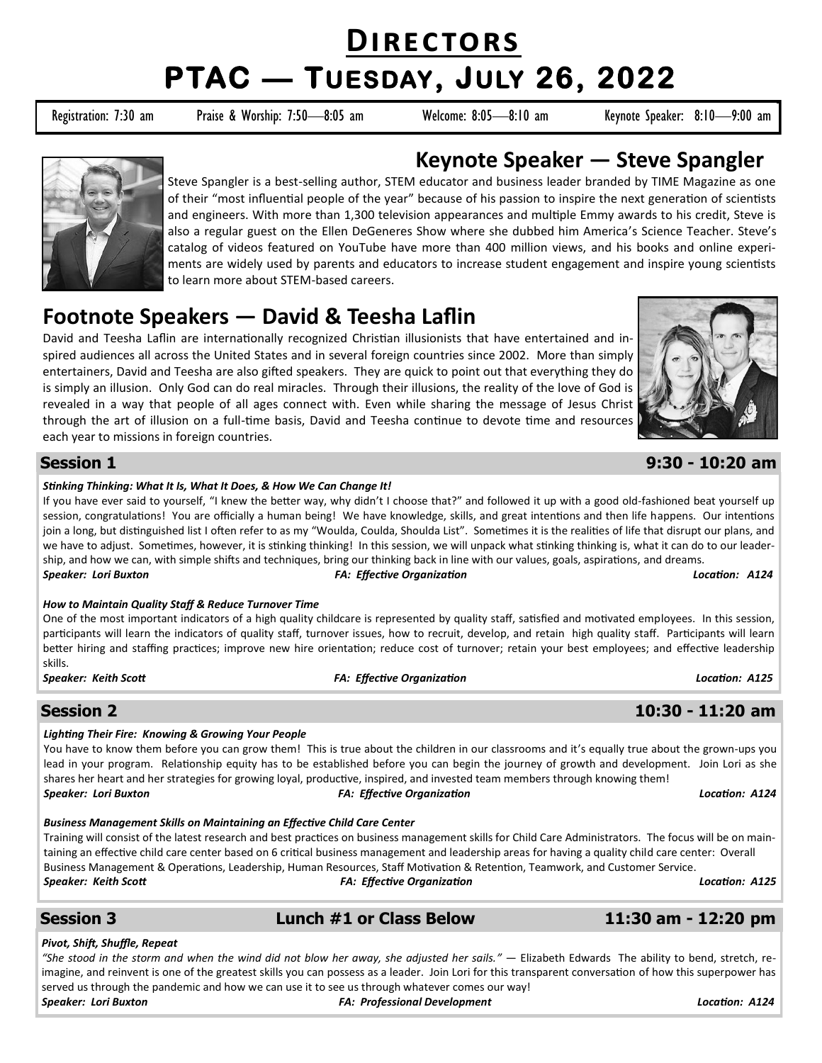# **Directors PTAC — TUESDAY, JULY 26, 2022**

Registration: 7:30 am Praise & Worship: 7:50—8:05 am Welcome: 8:05—8:10 am Keynote Speaker: 8:10—9:00 am



## **Keynote Speaker — Steve Spangler**

Steve Spangler is a best-selling author, STEM educator and business leader branded by TIME Magazine as one of their "most influential people of the year" because of his passion to inspire the next generation of scientists and engineers. With more than 1,300 television appearances and multiple Emmy awards to his credit, Steve is also a regular guest on the Ellen DeGeneres Show where she dubbed him America's Science Teacher. Steve's catalog of videos featured on YouTube have more than 400 million views, and his books and online experiments are widely used by parents and educators to increase student engagement and inspire young scientists to learn more about STEM-based careers.

# **Footnote Speakers — David & Teesha Laflin**

David and Teesha Laflin are internationally recognized Christian illusionists that have entertained and inspired audiences all across the United States and in several foreign countries since 2002. More than simply entertainers, David and Teesha are also gifted speakers. They are quick to point out that everything they do is simply an illusion. Only God can do real miracles. Through their illusions, the reality of the love of God is revealed in a way that people of all ages connect with. Even while sharing the message of Jesus Christ through the art of illusion on a full-time basis, David and Teesha continue to devote time and resources each year to missions in foreign countries.



### **Session 1 9:30 - 10:20 am**

#### *Stinking Thinking: What It Is, What It Does, & How We Can Change It!*

If you have ever said to yourself, "I knew the better way, why didn't I choose that?" and followed it up with a good old-fashioned beat yourself up session, congratulations! You are officially a human being! We have knowledge, skills, and great intentions and then life happens. Our intentions join a long, but distinguished list I often refer to as my "Woulda, Coulda, Shoulda List". Sometimes it is the realities of life that disrupt our plans, and we have to adjust. Sometimes, however, it is stinking thinking! In this session, we will unpack what stinking thinking is, what it can do to our leadership, and how we can, with simple shifts and techniques, bring our thinking back in line with our values, goals, aspirations, and dreams. *Speaker: Lori Buxton FA: Effective Organization Location: A124*

#### *How to Maintain Quality Staff & Reduce Turnover Time*

One of the most important indicators of a high quality childcare is represented by quality staff, satisfied and motivated employees. In this session, participants will learn the indicators of quality staff, turnover issues, how to recruit, develop, and retain high quality staff. Participants will learn better hiring and staffing practices; improve new hire orientation; reduce cost of turnover; retain your best employees; and effective leadership skills.

#### *Speaker: Keith Scott FA: Effective Organization Location: A125*

### **Session 2 10:30 - 11:20 am**

#### *Lighting Their Fire: Knowing & Growing Your People*

You have to know them before you can grow them! This is true about the children in our classrooms and it's equally true about the grown-ups you lead in your program. Relationship equity has to be established before you can begin the journey of growth and development. Join Lori as she shares her heart and her strategies for growing loyal, productive, inspired, and invested team members through knowing them! *Speaker: Lori Buxton FA: Effective Organization Location: A124*

#### *Business Management Skills on Maintaining an Effective Child Care Center*

Training will consist of the latest research and best practices on business management skills for Child Care Administrators. The focus will be on maintaining an effective child care center based on 6 critical business management and leadership areas for having a quality child care center: Overall Business Management & Operations, Leadership, Human Resources, Staff Motivation & Retention, Teamwork, and Customer Service. *Speaker: Keith Scott FA: Effective Organization Location: A125*

### **Session 3 Lunch #1 or Class Below 11:30 am - 12:20 pm**

#### *Pivot, Shift, Shuffle, Repeat*

*"She stood in the storm and when the wind did not blow her away, she adjusted her sails."* — Elizabeth Edwards The ability to bend, stretch, reimagine, and reinvent is one of the greatest skills you can possess as a leader. Join Lori for this transparent conversation of how this superpower has served us through the pandemic and how we can use it to see us through whatever comes our way! *Speaker: Lori Buxton FA: Professional Development Location: A124*

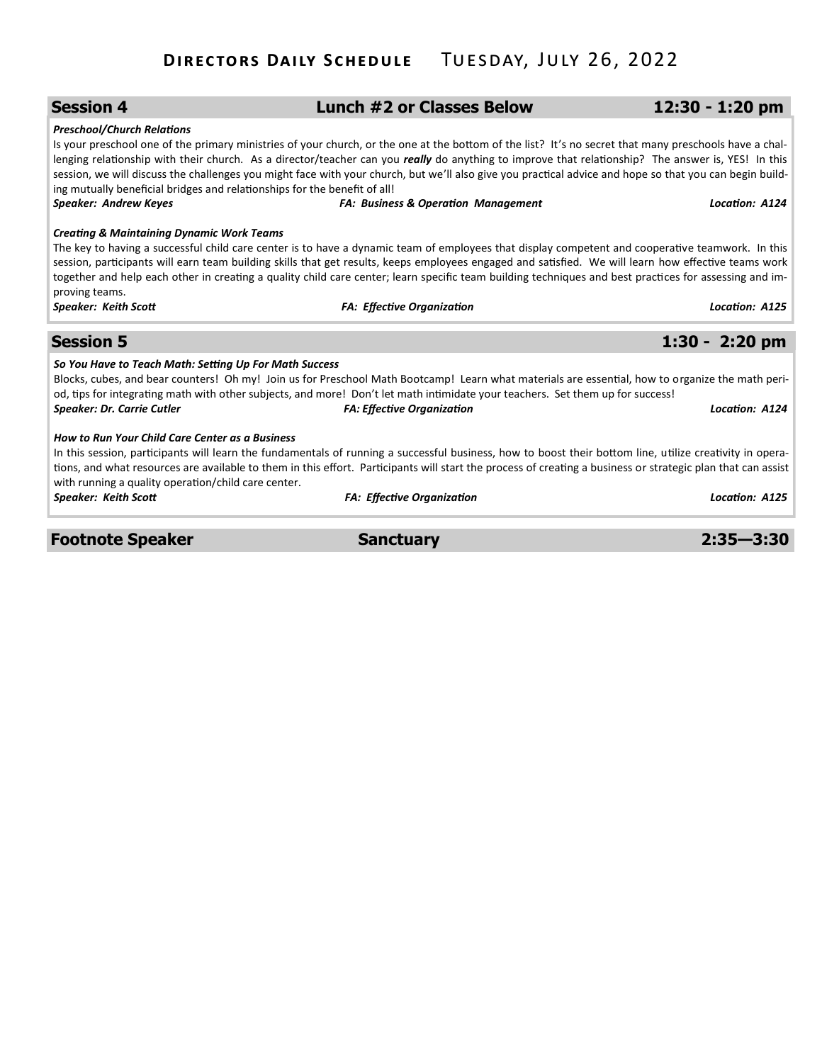| <b>Session 4</b>                                                                                                                                                                                                                                                                                                                                                                                                                                                                     | <b>Lunch #2 or Classes Below</b>                                                                                                                                                                                                                                                                                                                                                                                                                                                                                          | 12:30 - 1:20 pm  |  |  |
|--------------------------------------------------------------------------------------------------------------------------------------------------------------------------------------------------------------------------------------------------------------------------------------------------------------------------------------------------------------------------------------------------------------------------------------------------------------------------------------|---------------------------------------------------------------------------------------------------------------------------------------------------------------------------------------------------------------------------------------------------------------------------------------------------------------------------------------------------------------------------------------------------------------------------------------------------------------------------------------------------------------------------|------------------|--|--|
| <b>Preschool/Church Relations</b><br>ing mutually beneficial bridges and relationships for the benefit of all!<br><b>Speaker: Andrew Keyes</b>                                                                                                                                                                                                                                                                                                                                       | Is your preschool one of the primary ministries of your church, or the one at the bottom of the list? It's no secret that many preschools have a chal-<br>lenging relationship with their church. As a director/teacher can you really do anything to improve that relationship? The answer is, YES! In this<br>session, we will discuss the challenges you might face with your church, but we'll also give you practical advice and hope so that you can begin build-<br><b>FA: Business &amp; Operation Management</b> | Location: A124   |  |  |
| <b>Creating &amp; Maintaining Dynamic Work Teams</b>                                                                                                                                                                                                                                                                                                                                                                                                                                 |                                                                                                                                                                                                                                                                                                                                                                                                                                                                                                                           |                  |  |  |
| The key to having a successful child care center is to have a dynamic team of employees that display competent and cooperative teamwork. In this<br>session, participants will earn team building skills that get results, keeps employees engaged and satisfied. We will learn how effective teams work<br>together and help each other in creating a quality child care center; learn specific team building techniques and best practices for assessing and im-<br>proving teams. |                                                                                                                                                                                                                                                                                                                                                                                                                                                                                                                           |                  |  |  |
| <b>Speaker: Keith Scott</b>                                                                                                                                                                                                                                                                                                                                                                                                                                                          | <b>FA: Effective Organization</b>                                                                                                                                                                                                                                                                                                                                                                                                                                                                                         | Location: A125   |  |  |
|                                                                                                                                                                                                                                                                                                                                                                                                                                                                                      |                                                                                                                                                                                                                                                                                                                                                                                                                                                                                                                           |                  |  |  |
| <b>Session 5</b>                                                                                                                                                                                                                                                                                                                                                                                                                                                                     |                                                                                                                                                                                                                                                                                                                                                                                                                                                                                                                           | $1:30 - 2:20$ pm |  |  |
| So You Have to Teach Math: Setting Up For Math Success<br><b>Speaker: Dr. Carrie Cutler</b>                                                                                                                                                                                                                                                                                                                                                                                          | Blocks, cubes, and bear counters! Oh my! Join us for Preschool Math Bootcamp! Learn what materials are essential, how to organize the math peri-<br>od, tips for integrating math with other subjects, and more! Don't let math intimidate your teachers. Set them up for success!<br><b>FA: Effective Organization</b>                                                                                                                                                                                                   | Location: A124   |  |  |
| <b>How to Run Your Child Care Center as a Business</b>                                                                                                                                                                                                                                                                                                                                                                                                                               | In this session, participants will learn the fundamentals of running a successful business, how to boost their bottom line, utilize creativity in opera-<br>tions, and what resources are available to them in this effort. Participants will start the process of creating a business or strategic plan that can assist                                                                                                                                                                                                  |                  |  |  |
| with running a quality operation/child care center.<br><b>Speaker: Keith Scott</b>                                                                                                                                                                                                                                                                                                                                                                                                   | <b>FA: Effective Organization</b>                                                                                                                                                                                                                                                                                                                                                                                                                                                                                         | Location: A125   |  |  |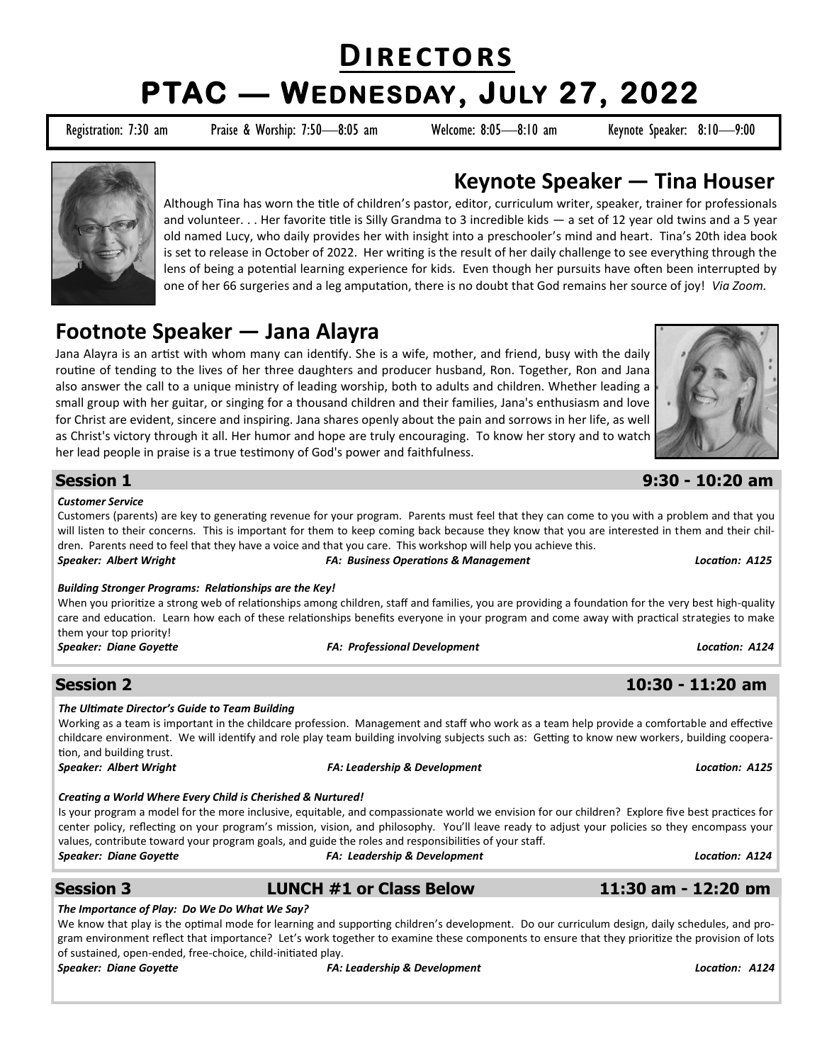# **Directors PTAC — WEDNESDAY, JULY 27, 2022**

Registration: 7:30 am Praise & Worship: 7:50—8:05 am Welcome: 8:05—8:10 am Keynote Speaker: 8:10—9:00



## **Keynote Speaker — Tina Houser**

Although Tina has worn the title of children's pastor, editor, curriculum writer, speaker, trainer for professionals and volunteer. . . Her favorite title is Silly Grandma to 3 incredible kids — a set of 12 year old twins and a 5 year old named Lucy, who daily provides her with insight into a preschooler's mind and heart. Tina's 20th idea book is set to release in October of 2022. Her writing is the result of her daily challenge to see everything through the lens of being a potential learning experience for kids. Even though her pursuits have often been interrupted by one of her 66 surgeries and a leg amputation, there is no doubt that God remains her source of joy! *Via Zoom.*

# **Footnote Speaker — Jana Alayra**

Jana Alayra is an artist with whom many can identify. She is a wife, mother, and friend, busy with the daily routine of tending to the lives of her three daughters and producer husband, Ron. Together, Ron and Jana also answer the call to a unique ministry of leading worship, both to adults and children. Whether leading a small group with her guitar, or singing for a thousand children and their families, Jana's enthusiasm and love for Christ are evident, sincere and inspiring. Jana shares openly about the pain and sorrows in her life, as well as Christ's victory through it all. Her humor and hope are truly encouraging. To know her story and to watch her lead people in praise is a true testimony of God's power and faithfulness.



#### **Session 1 9:30 - 10:20 am**

#### *Customer Service*

Customers (parents) are key to generating revenue for your program. Parents must feel that they can come to you with a problem and that you will listen to their concerns. This is important for them to keep coming back because they know that you are interested in them and their children. Parents need to feel that they have a voice and that you care. This workshop will help you achieve this. *Speaker: Albert Wright FA: Business Operations & Management Location: A125*

#### *Building Stronger Programs: Relationships are the Key!*

When you prioritize a strong web of relationships among children, staff and families, you are providing a foundation for the very best high-quality care and education. Learn how each of these relationships benefits everyone in your program and come away with practical strategies to make them your top priority!

*Speaker: Diane Goyette FA: Professional Development Location: A124*

#### **Session 2 10:30 - 11:20 am**

#### *The Ultimate Director's Guide to Team Building*

Working as a team is important in the childcare profession. Management and staff who work as a team help provide a comfortable and effective childcare environment. We will identify and role play team building involving subjects such as: Getting to know new workers, building cooperation, and building trust.

*Speaker: Albert Wright FA: Leadership & Development Location: A125*

*Creating a World Where Every Child is Cherished & Nurtured!* 

Is your program a model for the more inclusive, equitable, and compassionate world we envision for our children? Explore five best practices for center policy, reflecting on your program's mission, vision, and philosophy. You'll leave ready to adjust your policies so they encompass your values, contribute toward your program goals, and guide the roles and responsibilities of your staff. *Speaker: Diane Goyette FA: Leadership & Development Location: A124*

#### **Session 3 LUNCH #1 or Class Below 11:30 am - 12:20 pm**

#### *The Importance of Play: Do We Do What We Say?*

We know that play is the optimal mode for learning and supporting children's development. Do our curriculum design, daily schedules, and program environment reflect that importance? Let's work together to examine these components to ensure that they prioritize the provision of lots of sustained, open-ended, free-choice, child-initiated play.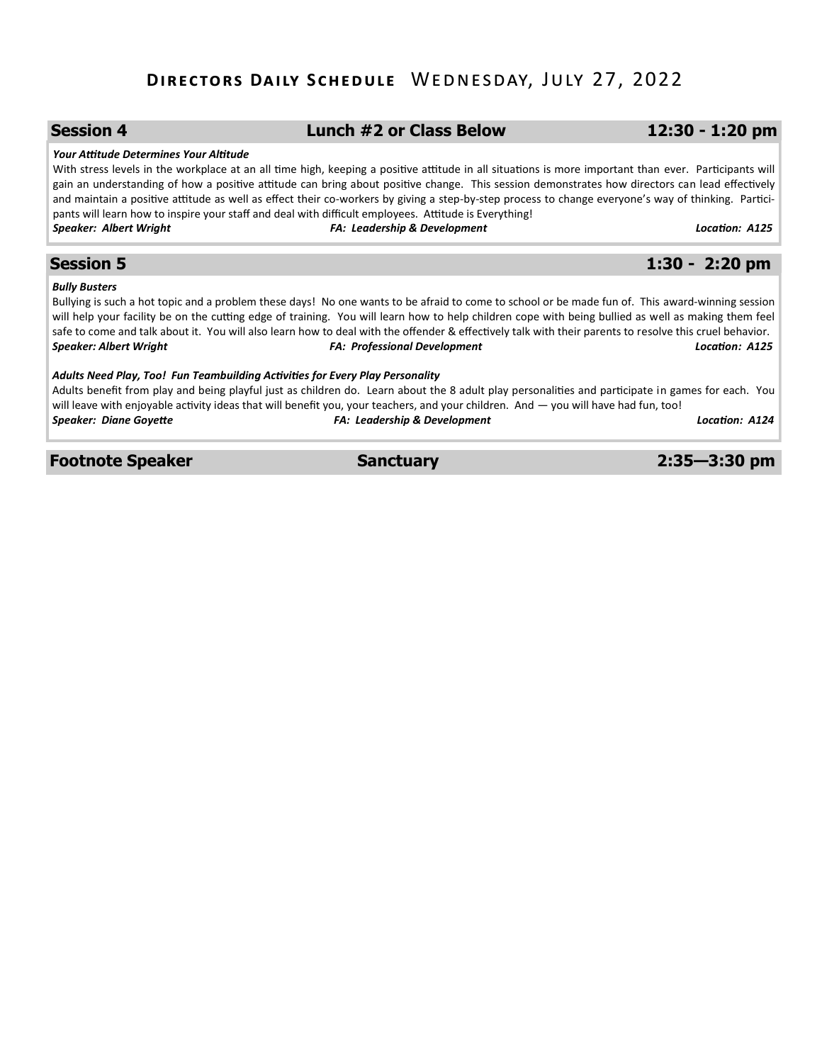## **Directors Daily Schedule** Wednesday, July 27, 2022

| <b>Session 4</b>                                                              | Lunch #2 or Class Below                                                                                                                                                                                                                                                                                                                                                                                                                                                                                                                                                 | $12:30 - 1:20$ pm |
|-------------------------------------------------------------------------------|-------------------------------------------------------------------------------------------------------------------------------------------------------------------------------------------------------------------------------------------------------------------------------------------------------------------------------------------------------------------------------------------------------------------------------------------------------------------------------------------------------------------------------------------------------------------------|-------------------|
| Your Attitude Determines Your Altitude                                        | With stress levels in the workplace at an all time high, keeping a positive attitude in all situations is more important than ever. Participants will<br>gain an understanding of how a positive attitude can bring about positive change. This session demonstrates how directors can lead effectively<br>and maintain a positive attitude as well as effect their co-workers by giving a step-by-step process to change everyone's way of thinking. Partici-<br>pants will learn how to inspire your staff and deal with difficult employees. Attitude is Everything! |                   |
| <b>Speaker: Albert Wright</b>                                                 | <b>FA: Leadership &amp; Development</b>                                                                                                                                                                                                                                                                                                                                                                                                                                                                                                                                 | Location: A125    |
| <b>Session 5</b>                                                              |                                                                                                                                                                                                                                                                                                                                                                                                                                                                                                                                                                         | $1:30 - 2:20$ pm  |
| <b>Bully Busters</b><br><b>Speaker: Albert Wright</b>                         | Bullying is such a hot topic and a problem these days! No one wants to be afraid to come to school or be made fun of. This award-winning session<br>will help your facility be on the cutting edge of training. You will learn how to help children cope with being bullied as well as making them feel<br>safe to come and talk about it. You will also learn how to deal with the offender & effectively talk with their parents to resolve this cruel behavior.<br><b>FA: Professional Development</b>                                                               | Location: A125    |
| Adults Need Play, Too! Fun Teambuilding Activities for Every Play Personality | Adults benefit from play and being playful just as children do. Learn about the 8 adult play personalities and participate in games for each. You<br>will leave with enjoyable activity ideas that will benefit you, your teachers, and your children. And — you will have had fun, too!                                                                                                                                                                                                                                                                                |                   |
| <b>Speaker: Diane Goyette</b>                                                 | <b>FA: Leadership &amp; Development</b>                                                                                                                                                                                                                                                                                                                                                                                                                                                                                                                                 | Location: A124    |

**Footnote Speaker Sanctuary 2:35—3:30 pm**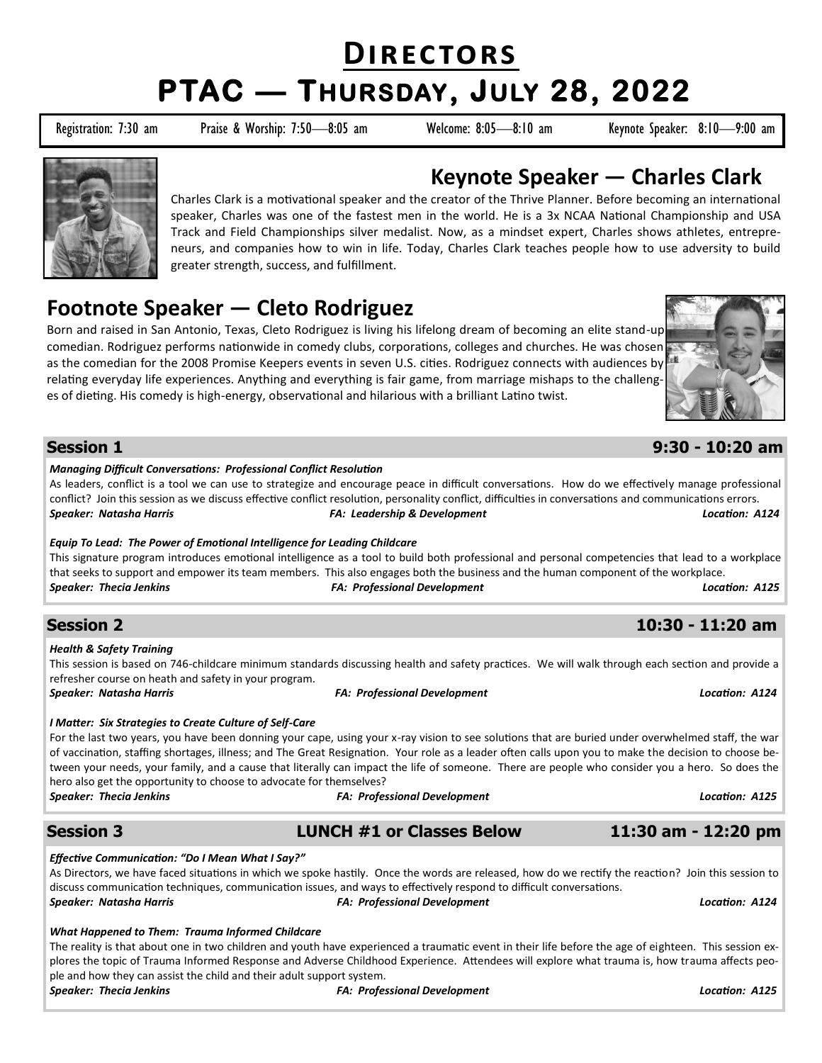# **Directors PTAC — THURSDAY, JULY 28, 2022**

Registration: 7:30 am Praise & Worship: 7:50-8:05 am Welcome: 8:05-8:10 am Keynote Speaker: 8:10-9:00 am



# **Keynote Speaker — Charles Clark**

Charles Clark is a motivational speaker and the creator of the Thrive Planner. Before becoming an international speaker, Charles was one of the fastest men in the world. He is a 3x NCAA National Championship and USA Track and Field Championships silver medalist. Now, as a mindset expert, Charles shows athletes, entrepreneurs, and companies how to win in life. Today, Charles Clark teaches people how to use adversity to build greater strength, success, and fulfillment.

# **Footnote Speaker — Cleto Rodriguez**

Born and raised in San Antonio, Texas, Cleto Rodriguez is living his lifelong dream of becoming an elite stand-up comedian. Rodriguez performs nationwide in comedy clubs, corporations, colleges and churches. He was chosen as the comedian for the 2008 Promise Keepers events in seven U.S. cities. Rodriguez connects with audiences by relating everyday life experiences. Anything and everything is fair game, from marriage mishaps to the challenges of dieting. His comedy is high-energy, observational and hilarious with a brilliant Latino twist.



### **Session 1 9:30 - 10:20 am**

#### *Managing Difficult Conversations: Professional Conflict Resolution*

As leaders, conflict is a tool we can use to strategize and encourage peace in difficult conversations. How do we effectively manage professional conflict? Join this session as we discuss effective conflict resolution, personality conflict, difficulties in conversations and communications errors. *Speaker: Natasha Harris FA: Leadership & Development Location: A124*

#### *Equip To Lead: The Power of Emotional Intelligence for Leading Childcare*

This signature program introduces emotional intelligence as a tool to build both professional and personal competencies that lead to a workplace that seeks to support and empower its team members. This also engages both the business and the human component of the workplace. *Speaker: Thecia Jenkins FA: Professional Development Location: A125*

### **Session 2 10:30 - 11:20 am**

*Health & Safety Training* 

This session is based on 746-childcare minimum standards discussing health and safety practices. We will walk through each section and provide a refresher course on heath and safety in your program.

#### *Speaker: Natasha Harris FA: Professional Development Location: A124*

#### *I Matter: Six Strategies to Create Culture of Self-Care*

For the last two years, you have been donning your cape, using your x-ray vision to see solutions that are buried under overwhelmed staff, the war of vaccination, staffing shortages, illness; and The Great Resignation. Your role as a leader often calls upon you to make the decision to choose between your needs, your family, and a cause that literally can impact the life of someone. There are people who consider you a hero. So does the hero also get the opportunity to choose to advocate for themselves?

#### *Speaker: Thecia Jenkins FA: Professional Development Location: A125*

### **Session 3 LUNCH #1 or Classes Below 11:30 am - 12:20 pm**

*Effective Communication: "Do I Mean What I Say?"* 

As Directors, we have faced situations in which we spoke hastily. Once the words are released, how do we rectify the reaction? Join this session to discuss communication techniques, communication issues, and ways to effectively respond to difficult conversations. *Speaker: Natasha Harris FA: Professional Development Location: A124*

#### *What Happened to Them: Trauma Informed Childcare*

The reality is that about one in two children and youth have experienced a traumatic event in their life before the age of eighteen. This session explores the topic of Trauma Informed Response and Adverse Childhood Experience. Attendees will explore what trauma is, how trauma affects people and how they can assist the child and their adult support system.

*Speaker: Thecia Jenkins FA: Professional Development Location: A125*